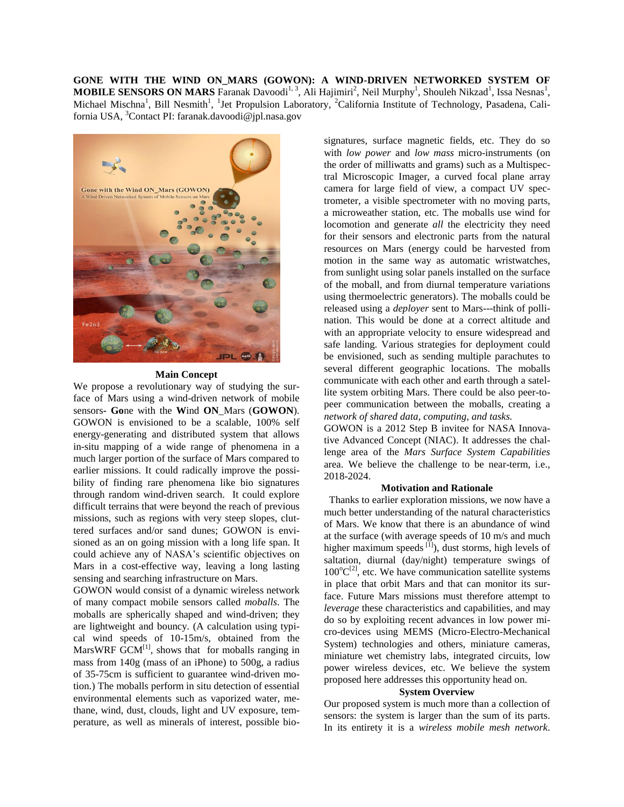**GONE WITH THE WIND ON\_MARS (GOWON): A WIND-DRIVEN NETWORKED SYSTEM OF MOBILE SENSORS ON MARS** Faranak Davoodi<sup>1, 3</sup>, Ali Hajimiri<sup>2</sup>, Neil Murphy<sup>1</sup>, Shouleh Nikzad<sup>1</sup>, Issa Nesnas<sup>1</sup>, Michael Mischna<sup>1</sup>, Bill Nesmith<sup>1</sup>, <sup>1</sup>Jet Propulsion Laboratory, <sup>2</sup>California Institute of Technology, Pasadena, California USA, <sup>3</sup>Contact PI: faranak.davoodi@jpl.nasa.gov



#### **Main Concept**

We propose a revolutionary way of studying the surface of Mars using a wind-driven network of mobile sensors**- Go**ne with the **W**ind **ON**\_Mars (**GOWON**). GOWON is envisioned to be a scalable, 100% self energy-generating and distributed system that allows in-situ mapping of a wide range of phenomena in a much larger portion of the surface of Mars compared to earlier missions. It could radically improve the possibility of finding rare phenomena like bio signatures through random wind-driven search. It could explore difficult terrains that were beyond the reach of previous missions, such as regions with very steep slopes, cluttered surfaces and/or sand dunes; GOWON is envisioned as an on going mission with a long life span. It could achieve any of NASA's scientific objectives on Mars in a cost-effective way, leaving a long lasting sensing and searching infrastructure on Mars.

GOWON would consist of a dynamic wireless network of many compact mobile sensors called *moballs*. The moballs are spherically shaped and wind-driven; they are lightweight and bouncy. (A calculation using typical wind speeds of 10-15m/s, obtained from the MarsWRF  $GCM<sup>[1]</sup>$ , shows that for moballs ranging in mass from 140g (mass of an iPhone) to 500g, a radius of 35-75cm is sufficient to guarantee wind-driven motion.) The moballs perform in situ detection of essential environmental elements such as vaporized water, methane, wind, dust, clouds, light and UV exposure, temperature, as well as minerals of interest, possible bio-

signatures, surface magnetic fields, etc. They do so with *low power* and *low mass* micro-instruments (on the order of milliwatts and grams) such as a Multispectral Microscopic Imager, a curved focal plane array camera for large field of view, a compact UV spectrometer, a visible spectrometer with no moving parts, a microweather station, etc. The moballs use wind for locomotion and generate *all* the electricity they need for their sensors and electronic parts from the natural resources on Mars (energy could be harvested from motion in the same way as automatic wristwatches, from sunlight using solar panels installed on the surface of the moball, and from diurnal temperature variations using thermoelectric generators). The moballs could be released using a *deployer* sent to Mars---think of pollination. This would be done at a correct altitude and with an appropriate velocity to ensure widespread and safe landing. Various strategies for deployment could be envisioned, such as sending multiple parachutes to several different geographic locations. The moballs communicate with each other and earth through a satellite system orbiting Mars. There could be also peer-topeer communication between the moballs, creating a *network of shared data, computing, and tasks.*

GOWON is a 2012 Step B invitee for NASA Innovative Advanced Concept (NIAC). It addresses the challenge area of the *Mars Surface System Capabilities* area. We believe the challenge to be near-term, i.e., 2018-2024.

### **Motivation and Rationale**

 Thanks to earlier exploration missions, we now have a much better understanding of the natural characteristics of Mars. We know that there is an abundance of wind at the surface (with average speeds of 10 m/s and much higher maximum speeds  $^{[1]}$ ), dust storms, high levels of saltation, diurnal (day/night) temperature swings of  $100^{\circ}C^{[2]}$ , etc. We have communication satellite systems in place that orbit Mars and that can monitor its surface. Future Mars missions must therefore attempt to *leverage* these characteristics and capabilities, and may do so by exploiting recent advances in low power micro-devices using MEMS (Micro-Electro-Mechanical System) technologies and others, miniature cameras, miniature wet chemistry labs, integrated circuits, low power wireless devices, etc. We believe the system proposed here addresses this opportunity head on.

#### **System Overview**

Our proposed system is much more than a collection of sensors: the system is larger than the sum of its parts. In its entirety it is a *wireless mobile mesh network*.